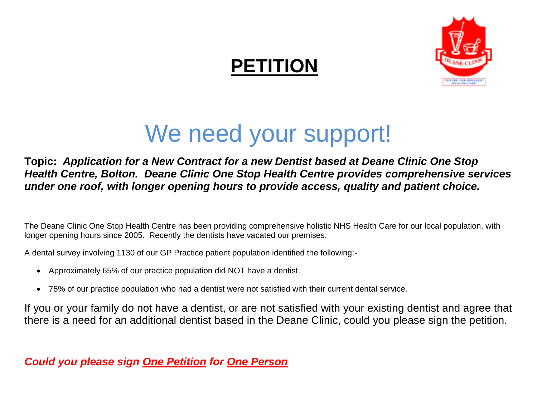## **PETITION**



## We need your support!

**Topic:** *Application for a New Contract for a new Dentist based at Deane Clinic One Stop Health Centre, Bolton. Deane Clinic One Stop Health Centre provides comprehensive services under one roof, with longer opening hours to provide access, quality and patient choice.*

The Deane Clinic One Stop Health Centre has been providing comprehensive holistic NHS Health Care for our local population, with longer opening hours since 2005. Recently the dentists have vacated our premises.

A dental survey involving 1130 of our GP Practice patient population identified the following:-

- Approximately 65% of our practice population did NOT have a dentist.
- 75% of our practice population who had a dentist were not satisfied with their current dental service.

If you or your family do not have a dentist, or are not satisfied with your existing dentist and agree that there is a need for an additional dentist based in the Deane Clinic, could you please sign the petition.

*Could you please sign One Petition for One Person*